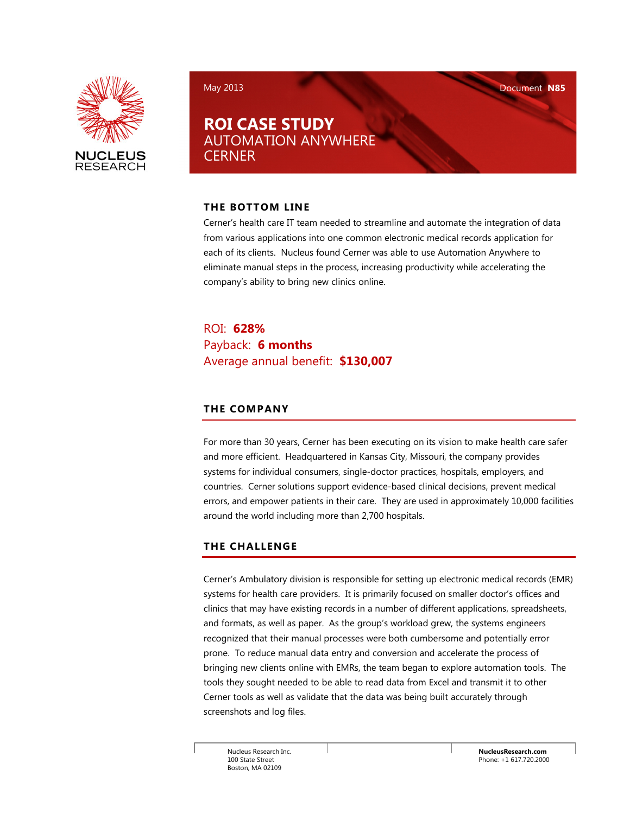

May 2013 Document N85

## ROI CASE STUDY AUTOMATION ANYWHERE **CERNER**

#### THE BOTTOM LINE

Cerner's health care IT team needed to streamline and automate the integration of data from various applications into one common electronic medical records application for each of its clients. Nucleus found Cerner was able to use Automation Anywhere to eliminate manual steps in the process, increasing productivity while accelerating the company's ability to bring new clinics online.

ROI: 628% Payback: 6 months Average annual benefit: \$130,007

## THE COMPANY

For more than 30 years, Cerner has been executing on its vision to make health care safer and more efficient. Headquartered in Kansas City, Missouri, the company provides systems for individual consumers, single-doctor practices, hospitals, employers, and countries. Cerner solutions support evidence-based clinical decisions, prevent medical errors, and empower patients in their care. They are used in approximately 10,000 facilities around the world including more than 2,700 hospitals.

## THE CHALLENGE

Cerner's Ambulatory division is responsible for setting up electronic medical records (EMR) systems for health care providers. It is primarily focused on smaller doctor's offices and clinics that may have existing records in a number of different applications, spreadsheets, and formats, as well as paper. As the group's workload grew, the systems engineers recognized that their manual processes were both cumbersome and potentially error prone. To reduce manual data entry and conversion and accelerate the process of bringing new clients online with EMRs, the team began to explore automation tools. The tools they sought needed to be able to read data from Excel and transmit it to other Cerner tools as well as validate that the data was being built accurately through screenshots and log files.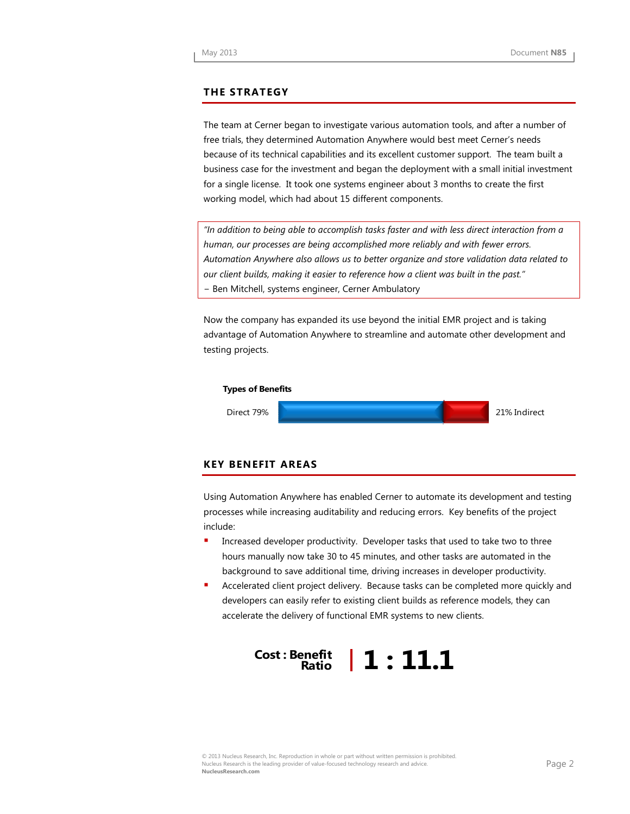#### THE STRATEGY

The team at Cerner began to investigate various automation tools, and after a number of free trials, they determined Automation Anywhere would best meet Cerner's needs because of its technical capabilities and its excellent customer support. The team built a business case for the investment and began the deployment with a small initial investment for a single license. It took one systems engineer about 3 months to create the first working model, which had about 15 different components.

"In addition to being able to accomplish tasks faster and with less direct interaction from a human, our processes are being accomplished more reliably and with fewer errors. Automation Anywhere also allows us to better organize and store validation data related to our client builds, making it easier to reference how a client was built in the past." − Ben Mitchell, systems engineer, Cerner Ambulatory

Now the company has expanded its use beyond the initial EMR project and is taking advantage of Automation Anywhere to streamline and automate other development and testing projects.



#### KEY BENEFIT AREAS

Using Automation Anywhere has enabled Cerner to automate its development and testing processes while increasing auditability and reducing errors. Key benefits of the project include:

- Increased developer productivity. Developer tasks that used to take two to three hours manually now take 30 to 45 minutes, and other tasks are automated in the background to save additional time, driving increases in developer productivity.
- Accelerated client project delivery. Because tasks can be completed more quickly and developers can easily refer to existing client builds as reference models, they can accelerate the delivery of functional EMR systems to new clients.

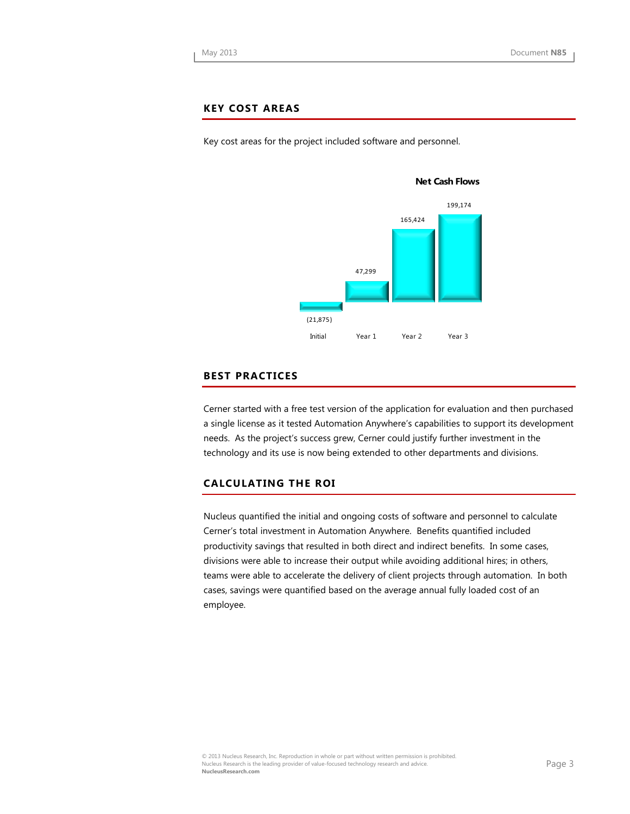#### KEY COST AREAS

Key cost areas for the project included software and personnel.



#### BEST PRACTICES

Cerner started with a free test version of the application for evaluation and then purchased a single license as it tested Automation Anywhere's capabilities to support its development needs. As the project's success grew, Cerner could justify further investment in the technology and its use is now being extended to other departments and divisions.

#### CALCULATING THE ROI

Nucleus quantified the initial and ongoing costs of software and personnel to calculate Cerner's total investment in Automation Anywhere. Benefits quantified included productivity savings that resulted in both direct and indirect benefits. In some cases, divisions were able to increase their output while avoiding additional hires; in others, teams were able to accelerate the delivery of client projects through automation. In both cases, savings were quantified based on the average annual fully loaded cost of an employee.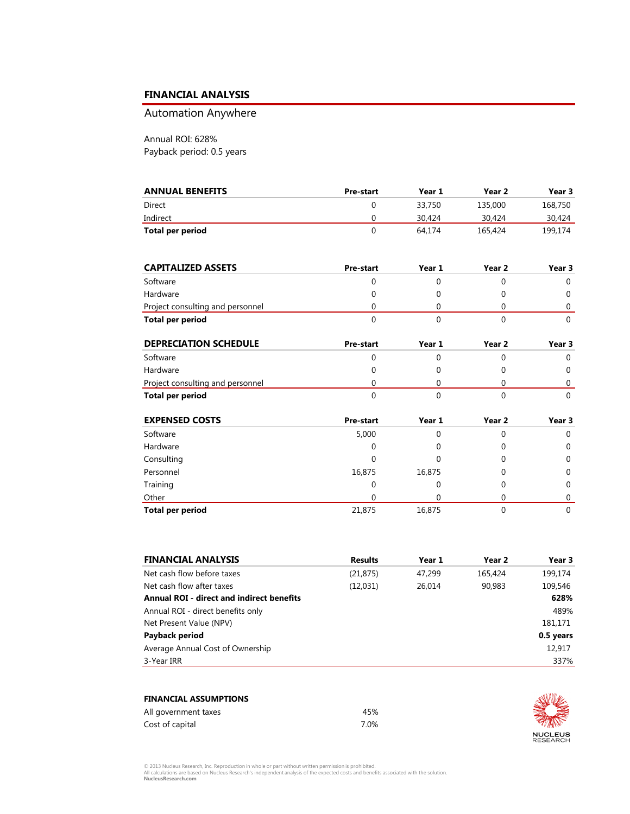#### FINANCIAL ANALYSIS

## Automation Anywhere

Annual ROI: 628% Payback period: 0.5 years

| <b>ANNUAL BENEFITS</b> | <b>Pre-start</b> | Year 1 | Year 2  | Year 3  |
|------------------------|------------------|--------|---------|---------|
| Direct                 |                  | 33,750 | 135,000 | 168,750 |
| Indirect               |                  | 30.424 | 30,424  | 30.424  |
| Total per period       |                  | 64.174 | 165,424 | 199.174 |

| <b>CAPITALIZED ASSETS</b>        | <b>Pre-start</b> | Year 1 | Year 2 | Year 3 |
|----------------------------------|------------------|--------|--------|--------|
| Software                         |                  |        |        |        |
| Hardware                         |                  |        |        |        |
| Project consulting and personnel |                  |        |        |        |
| Total per period                 |                  |        |        |        |

| <b>DEPRECIATION SCHEDULE</b>     | <b>Pre-start</b> | Year 1 | Year 2 | Year 3 |
|----------------------------------|------------------|--------|--------|--------|
| Software                         |                  |        |        |        |
| Hardware                         |                  |        |        |        |
| Project consulting and personnel |                  |        |        |        |
| Total per period                 |                  |        |        |        |

| <b>EXPENSED COSTS</b>   | <b>Pre-start</b> | Year 1 | Year 2 | Year 3   |
|-------------------------|------------------|--------|--------|----------|
| Software                | 5,000            |        | 0      | 0        |
| Hardware                | 0                |        | 0      | 0        |
| Consulting              | 0                |        | 0      | 0        |
| Personnel               | 16,875           | 16,875 | 0      | 0        |
| Training                | 0                |        | 0      | $\Omega$ |
| Other                   | 0                |        |        | 0        |
| <b>Total per period</b> | 21,875           | 16,875 |        | $\Omega$ |

| <b>FINANCIAL ANALYSIS</b>                        | <b>Results</b> | Year 1 | Year 2  | Year 3    |
|--------------------------------------------------|----------------|--------|---------|-----------|
| Net cash flow before taxes                       | (21, 875)      | 47.299 | 165,424 | 199,174   |
| Net cash flow after taxes                        | (12,031)       | 26.014 | 90.983  | 109,546   |
| <b>Annual ROI - direct and indirect benefits</b> |                |        |         | 628%      |
| Annual ROI - direct benefits only                |                |        |         | 489%      |
| Net Present Value (NPV)                          |                |        |         | 181,171   |
| Payback period                                   |                |        |         | 0.5 years |
| Average Annual Cost of Ownership                 |                |        |         | 12,917    |
| 3-Year IRR                                       |                |        |         | 337%      |

| <b>FINANCIAL ASSUMPTIONS</b> |      |
|------------------------------|------|
| All government taxes         | 45%  |
| Cost of capital              | 7.0% |



© 2013 Nucleus Research, Inc. Reproduction in whole or part without written permission is prohibited.<br>All calculations are based on Nucleus Research's independent analysis of the expected costs and benefits associated with